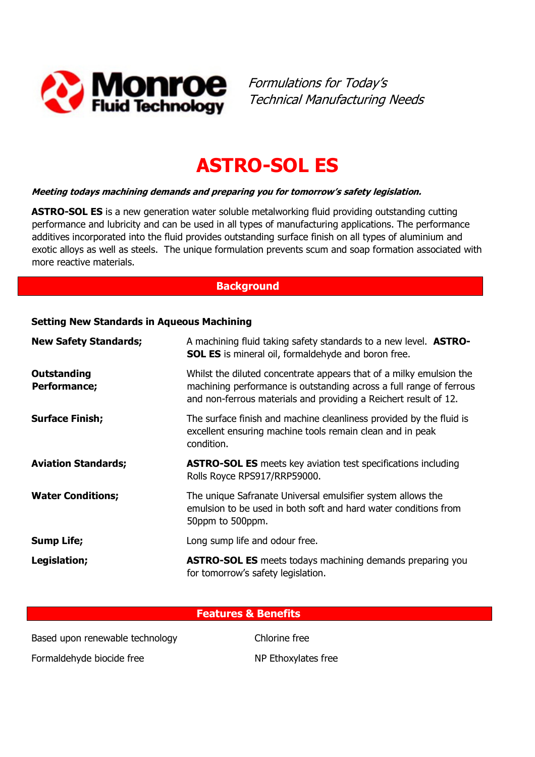

Formulations for Today's Technical Manufacturing Needs

# ASTRO-SOL ES

#### Meeting todays machining demands and preparing you for tomorrow's safety legislation.

ASTRO-SOL ES is a new generation water soluble metalworking fluid providing outstanding cutting performance and lubricity and can be used in all types of manufacturing applications. The performance additives incorporated into the fluid provides outstanding surface finish on all types of aluminium and exotic alloys as well as steels. The unique formulation prevents scum and soap formation associated with more reactive materials.

### **Background**

#### Setting New Standards in Aqueous Machining

| <b>New Safety Standards;</b>       | A machining fluid taking safety standards to a new level. <b>ASTRO-</b><br><b>SOL ES</b> is mineral oil, formaldehyde and boron free.                                                                          |  |
|------------------------------------|----------------------------------------------------------------------------------------------------------------------------------------------------------------------------------------------------------------|--|
| <b>Outstanding</b><br>Performance; | Whilst the diluted concentrate appears that of a milky emulsion the<br>machining performance is outstanding across a full range of ferrous<br>and non-ferrous materials and providing a Reichert result of 12. |  |
| <b>Surface Finish;</b>             | The surface finish and machine cleanliness provided by the fluid is<br>excellent ensuring machine tools remain clean and in peak<br>condition.                                                                 |  |
| <b>Aviation Standards;</b>         | <b>ASTRO-SOL ES</b> meets key aviation test specifications including<br>Rolls Royce RPS917/RRP59000.                                                                                                           |  |
| <b>Water Conditions;</b>           | The unique Safranate Universal emulsifier system allows the<br>emulsion to be used in both soft and hard water conditions from<br>50ppm to 500ppm.                                                             |  |
| <b>Sump Life;</b>                  | Long sump life and odour free.                                                                                                                                                                                 |  |
| Legislation;                       | <b>ASTRO-SOL ES</b> meets todays machining demands preparing you<br>for tomorrow's safety legislation.                                                                                                         |  |

#### Features & Benefits

Based upon renewable technology Chlorine free

Formaldehyde biocide free NP Ethoxylates free